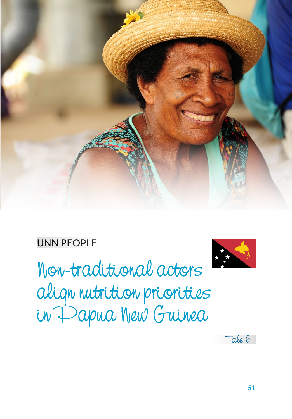

#### UNN PEOPLE

Non-traditional actors align nutrition priorities in Papua New Guinea



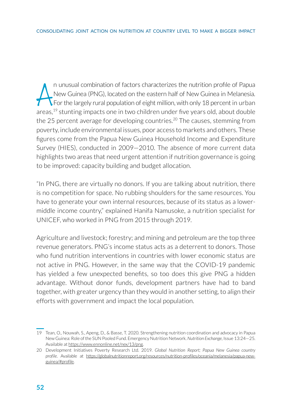A n unusual combination of factors characterizes the nutrition profile of Papua<br>New Guinea (PNG), located on the eastern half of New Guinea in Melanesia.<br>For the largely rural population of eight million, with only 18 perc n unusual combination of factors characterizes the nutrition profile of Papua New Guinea (PNG), located on the eastern half of New Guinea in Melanesia. For the largely rural population of eight million, with only 18 percent in urban the 25 percent average for developing countries.<sup>20</sup> The causes, stemming from poverty, include environmental issues, poor access to markets and others. These figures come from the Papua New Guinea Household Income and Expenditure Survey (HIES), conducted in 2009—2010. The absence of more current data highlights two areas that need urgent attention if nutrition governance is going to be improved: capacity building and budget allocation.

"In PNG, there are virtually no donors. If you are talking about nutrition, there is no competition for space. No rubbing shoulders for the same resources. You have to generate your own internal resources, because of its status as a lowermiddle income country," explained Hanifa Namusoke, a nutrition specialist for UNICEF, who worked in PNG from 2015 through 2019.

Agriculture and livestock; forestry; and mining and petroleum are the top three revenue generators. PNG's income status acts as a deterrent to donors. Those who fund nutrition interventions in countries with lower economic status are not active in PNG. However, in the same way that the COVID-19 pandemic has yielded a few unexpected benefits, so too does this give PNG a hidden advantage. Without donor funds, development partners have had to band together, with greater urgency than they would in another setting, to align their efforts with government and impact the local population.

<sup>19</sup> Tean, O., Nouwah, S., Apeng, D., & Basse, T. 2020. Strengthening nutrition coordination and advocacy in Papua New Guinea: Role of the SUN Pooled Fund. Emergency Nutrition Network. *Nutrition Exchange*, Issue 13:24—25. Available at https://www.ennonline.net/nex/13/png.

<sup>20</sup> Development Initiatives Poverty Research Ltd. 2019. *Global Nutrition Report; Papua New Guinea country profile*. Available at https://globalnutritionreport.org/resources/nutrition-profiles/oceania/melanesia/papua-newguinea/#profile.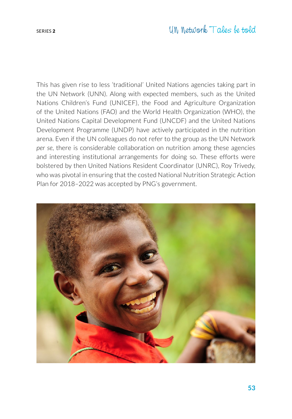This has given rise to less 'traditional' United Nations agencies taking part in the UN Network (UNN). Along with expected members, such as the United Nations Children's Fund (UNICEF), the Food and Agriculture Organization of the United Nations (FAO) and the World Health Organization (WHO), the United Nations Capital Development Fund (UNCDF) and the United Nations Development Programme (UNDP) have actively participated in the nutrition arena. Even if the UN colleagues do not refer to the group as the UN Network *per se*, there is considerable collaboration on nutrition among these agencies and interesting institutional arrangements for doing so. These efforts were bolstered by then United Nations Resident Coordinator (UNRC), Roy Trivedy, who was pivotal in ensuring that the costed National Nutrition Strategic Action Plan for 2018–2022 was accepted by PNG's government.

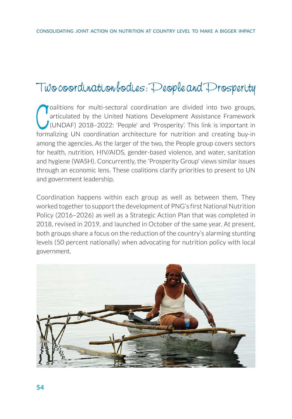# Two coordination bodies: People and Prosperity

Collitions for multi-sectoral coordination are divided into two groups, articulated by the United Nations Development Assistance Framework (UNDAF) 2018-2022: 'People' and 'Prosperity'. This link is important in formalizing oalitions for multi-sectoral coordination are divided into two groups, articulated by the United Nations Development Assistance Framework (UNDAF) 2018–2022: 'People' and 'Prosperity'. This link is important in among the agencies. As the larger of the two, the People group covers sectors for health, nutrition, HIV/AIDS, gender-based violence, and water, sanitation and hygiene (WASH). Concurrently, the 'Prosperity Group' views similar issues through an economic lens. These coalitions clarify priorities to present to UN and government leadership.

Coordination happens within each group as well as between them. They worked together to support the development of PNG's first National Nutrition Policy (2016–2026) as well as a Strategic Action Plan that was completed in 2018, revised in 2019, and launched in October of the same year. At present, both groups share a focus on the reduction of the country's alarming stunting levels (50 percent nationally) when advocating for nutrition policy with local government.

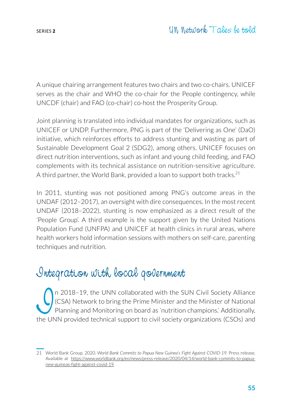A unique chairing arrangement features two chairs and two co-chairs. UNICEF serves as the chair and WHO the co-chair for the People contingency, while UNCDF (chair) and FAO (co-chair) co-host the Prosperity Group.

Joint planning is translated into individual mandates for organizations, such as UNICEF or UNDP. Furthermore, PNG is part of the 'Delivering as One' (DaO) initiative, which reinforces efforts to address stunting and wasting as part of Sustainable Development Goal 2 (SDG2), among others. UNICEF focuses on direct nutrition interventions, such as infant and young child feeding, and FAO complements with its technical assistance on nutrition-sensitive agriculture. A third partner, the World Bank, provided a loan to support both tracks.<sup>21</sup>

In 2011, stunting was not positioned among PNG's outcome areas in the UNDAF (2012–2017), an oversight with dire consequences. In the most recent UNDAF (2018–2022), stunting is now emphasized as a direct result of the 'People Group'. A third example is the support given by the United Nations Population Fund (UNFPA) and UNICEF at health clinics in rural areas, where health workers hold information sessions with mothers on self-care, parenting techniques and nutrition.

### Integration with local government

In 2018–19, the UNN collaborated with the SUN Civil Society Alliance<br>ICSA) Network to bring the Prime Minister and the Minister of National<br>Planning and Monitoring on board as 'nutrition champions.' Additionally,<br>the UNN p (CSA) Network to bring the Prime Minister and the Minister of National Planning and Monitoring on board as 'nutrition champions.' Additionally, the UNN provided technical support to civil society organizations (CSOs) and

<sup>21</sup> World Bank Group. 2020. *World Bank Commits to Papua New Guinea's Fight Against COVID-19.* Press release. Available at https://www.worldbank.org/en/news/press-release/2020/04/14/world-bank-commits-to-papuanew-guineas-fight-against-covid-19.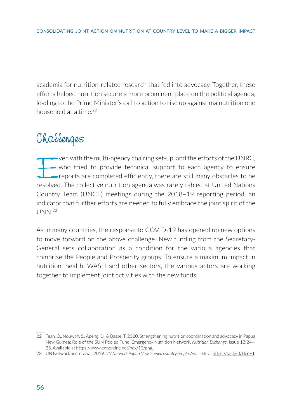academia for nutrition-related research that fed into advocacy. Together, these efforts helped nutrition secure a more prominent place on the political agenda, leading to the Prime Minister's call to action to rise up against malnutrition one household at a time  $22$ 

## Challenges

ven with the multi-agency chairing set-up, and the efforts of the UNRC,<br>who tried to provide technical support to each agency to ensure<br>reports are completed efficiently, there are still many obstacles to be<br>resolved. The who tried to provide technical support to each agency to ensure reports are completed efficiently, there are still many obstacles to be resolved. The collective nutrition agenda was rarely tabled at United Nations Country Team (UNCT) meetings during the 2018–19 reporting period, an indicator that further efforts are needed to fully embrace the joint spirit of the  $UNN<sup>23</sup>$ 

As in many countries, the response to COVID-19 has opened up new options to move forward on the above challenge. New funding from the Secretary-General sets collaboration as a condition for the various agencies that comprise the People and Prosperity groups. To ensure a maximum impact in nutrition, health, WASH and other sectors, the various actors are working together to implement joint activities with the new funds.

<sup>22</sup> Tean, O., Nouwah, S., Apeng, D., & Basse, T. 2020. Strengthening nutrition coordination and advocacy in Papua New Guinea: Role of the SUN Pooled Fund. Emergency Nutrition Network. *Nutrition Exchange*, Issue 13:24— 25. Available at https://www.ennonline.net/nex/13/png.

<sup>23</sup> UN Network Secretariat. 2019. *UN Network Papua New Guinea country profile.* Available at <https://bit.ly/3a0c6ET>.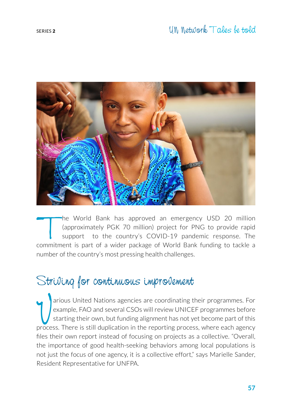

he World Bank has approved an emergency USD 20 million (approximately PGK 70 million) project for PNG to provide rapid support to the country's COVID-19 pandemic response. The commitment is part of a wider package of World Bank funding to tackle a number of the country's most pressing health challenges.

### Striving for continuous improvement

arious United Nations agencies are coordinating their programmes. For example, FAO and several CSOs will review UNICEF programmes before starting their own, but funding alignment has not yet become part of this process. Th arious United Nations agencies are coordinating their programmes. For example, FAO and several CSOs will review UNICEF programmes before starting their own, but funding alignment has not yet become part of this files their own report instead of focusing on projects as a collective. "Overall, the importance of good health-seeking behaviors among local populations is not just the focus of one agency, it is a collective effort," says Marielle Sander, Resident Representative for UNFPA.